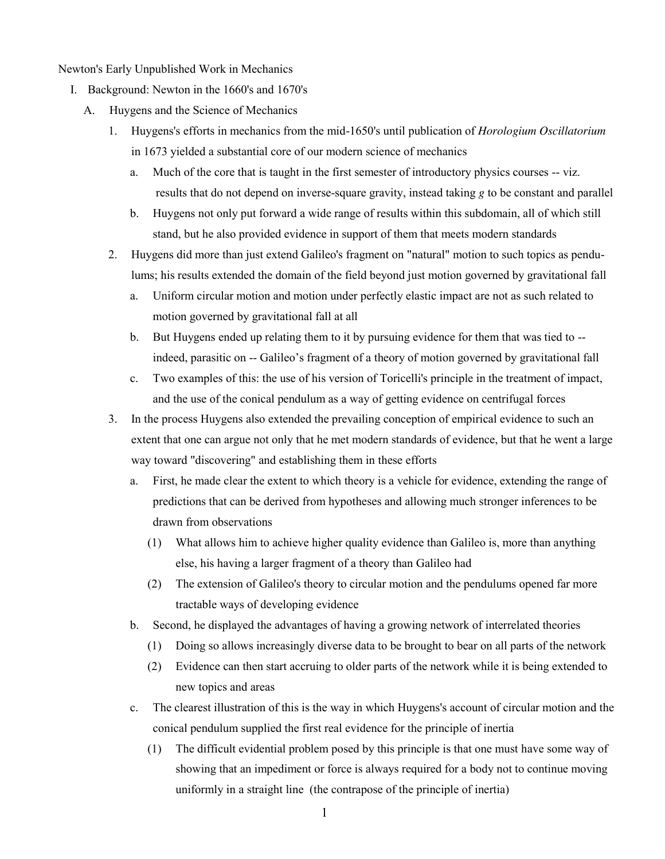Newton's Early Unpublished Work in Mechanics

- I. Background: Newton in the 1660's and 1670's
	- A. Huygens and the Science of Mechanics
		- 1. Huygens's efforts in mechanics from the mid-1650's until publication of *Horologium Oscillatorium* in 1673 yielded a substantial core of our modern science of mechanics
			- a. Much of the core that is taught in the first semester of introductory physics courses -- viz. results that do not depend on inverse-square gravity, instead taking *g* to be constant and parallel
			- b. Huygens not only put forward a wide range of results within this subdomain, all of which still stand, but he also provided evidence in support of them that meets modern standards
		- 2. Huygens did more than just extend Galileo's fragment on "natural" motion to such topics as pendulums; his results extended the domain of the field beyond just motion governed by gravitational fall
			- a. Uniform circular motion and motion under perfectly elastic impact are not as such related to motion governed by gravitational fall at all
			- b. But Huygens ended up relating them to it by pursuing evidence for them that was tied to indeed, parasitic on -- Galileo's fragment of a theory of motion governed by gravitational fall
			- c. Two examples of this: the use of his version of Toricelli's principle in the treatment of impact, and the use of the conical pendulum as a way of getting evidence on centrifugal forces
		- 3. In the process Huygens also extended the prevailing conception of empirical evidence to such an extent that one can argue not only that he met modern standards of evidence, but that he went a large way toward "discovering" and establishing them in these efforts
			- a. First, he made clear the extent to which theory is a vehicle for evidence, extending the range of predictions that can be derived from hypotheses and allowing much stronger inferences to be drawn from observations
				- (1) What allows him to achieve higher quality evidence than Galileo is, more than anything else, his having a larger fragment of a theory than Galileo had
				- (2) The extension of Galileo's theory to circular motion and the pendulums opened far more tractable ways of developing evidence
			- b. Second, he displayed the advantages of having a growing network of interrelated theories
				- (1) Doing so allows increasingly diverse data to be brought to bear on all parts of the network
				- (2) Evidence can then start accruing to older parts of the network while it is being extended to new topics and areas
			- c. The clearest illustration of this is the way in which Huygens's account of circular motion and the conical pendulum supplied the first real evidence for the principle of inertia
				- (1) The difficult evidential problem posed by this principle is that one must have some way of showing that an impediment or force is always required for a body not to continue moving uniformly in a straight line (the contrapose of the principle of inertia)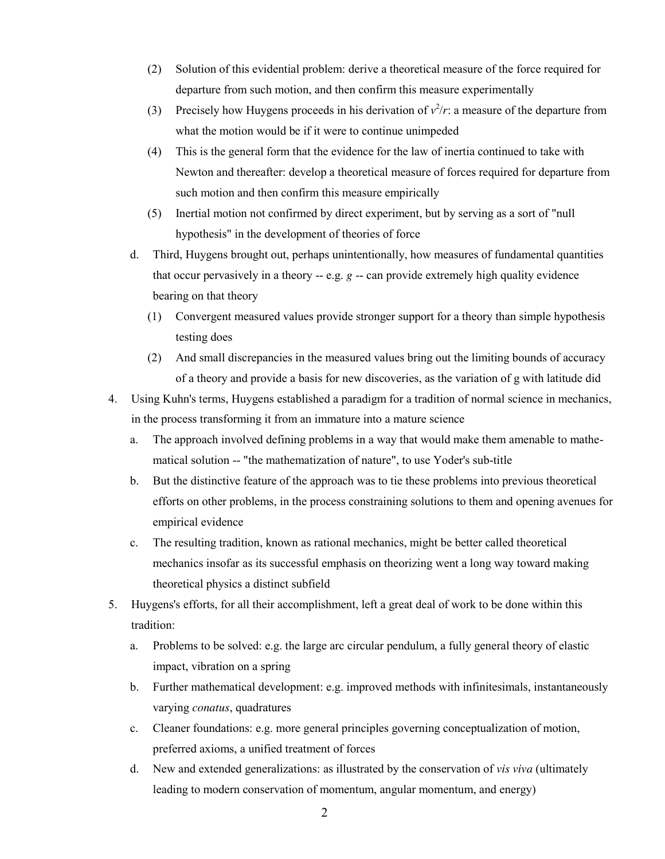- (2) Solution of this evidential problem: derive a theoretical measure of the force required for departure from such motion, and then confirm this measure experimentally
- (3) Precisely how Huygens proceeds in his derivation of  $v^2/r$ : a measure of the departure from what the motion would be if it were to continue unimpeded
- (4) This is the general form that the evidence for the law of inertia continued to take with Newton and thereafter: develop a theoretical measure of forces required for departure from such motion and then confirm this measure empirically
- (5) Inertial motion not confirmed by direct experiment, but by serving as a sort of "null hypothesis" in the development of theories of force
- d. Third, Huygens brought out, perhaps unintentionally, how measures of fundamental quantities that occur pervasively in a theory -- e.g. *g* -- can provide extremely high quality evidence bearing on that theory
	- (1) Convergent measured values provide stronger support for a theory than simple hypothesis testing does
	- (2) And small discrepancies in the measured values bring out the limiting bounds of accuracy of a theory and provide a basis for new discoveries, as the variation of g with latitude did
- 4. Using Kuhn's terms, Huygens established a paradigm for a tradition of normal science in mechanics, in the process transforming it from an immature into a mature science
	- a. The approach involved defining problems in a way that would make them amenable to mathematical solution -- "the mathematization of nature", to use Yoder's sub-title
	- b. But the distinctive feature of the approach was to tie these problems into previous theoretical efforts on other problems, in the process constraining solutions to them and opening avenues for empirical evidence
	- c. The resulting tradition, known as rational mechanics, might be better called theoretical mechanics insofar as its successful emphasis on theorizing went a long way toward making theoretical physics a distinct subfield
- 5. Huygens's efforts, for all their accomplishment, left a great deal of work to be done within this tradition:
	- a. Problems to be solved: e.g. the large arc circular pendulum, a fully general theory of elastic impact, vibration on a spring
	- b. Further mathematical development: e.g. improved methods with infinitesimals, instantaneously varying *conatus*, quadratures
	- c. Cleaner foundations: e.g. more general principles governing conceptualization of motion, preferred axioms, a unified treatment of forces
	- d. New and extended generalizations: as illustrated by the conservation of *vis viva* (ultimately leading to modern conservation of momentum, angular momentum, and energy)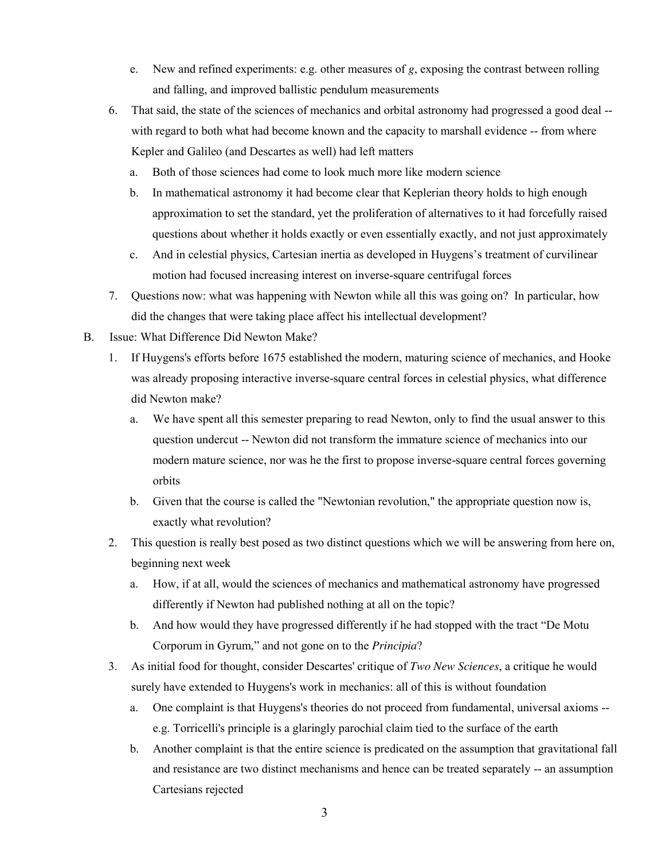- e. New and refined experiments: e.g. other measures of *g*, exposing the contrast between rolling and falling, and improved ballistic pendulum measurements
- 6. That said, the state of the sciences of mechanics and orbital astronomy had progressed a good deal with regard to both what had become known and the capacity to marshall evidence -- from where Kepler and Galileo (and Descartes as well) had left matters
	- a. Both of those sciences had come to look much more like modern science
	- b. In mathematical astronomy it had become clear that Keplerian theory holds to high enough approximation to set the standard, yet the proliferation of alternatives to it had forcefully raised questions about whether it holds exactly or even essentially exactly, and not just approximately
	- c. And in celestial physics, Cartesian inertia as developed in Huygens's treatment of curvilinear motion had focused increasing interest on inverse-square centrifugal forces
- 7. Questions now: what was happening with Newton while all this was going on? In particular, how did the changes that were taking place affect his intellectual development?
- B. Issue: What Difference Did Newton Make?
	- 1. If Huygens's efforts before 1675 established the modern, maturing science of mechanics, and Hooke was already proposing interactive inverse-square central forces in celestial physics, what difference did Newton make?
		- a. We have spent all this semester preparing to read Newton, only to find the usual answer to this question undercut -- Newton did not transform the immature science of mechanics into our modern mature science, nor was he the first to propose inverse-square central forces governing orbits
		- b. Given that the course is called the "Newtonian revolution," the appropriate question now is, exactly what revolution?
	- 2. This question is really best posed as two distinct questions which we will be answering from here on, beginning next week
		- a. How, if at all, would the sciences of mechanics and mathematical astronomy have progressed differently if Newton had published nothing at all on the topic?
		- b. And how would they have progressed differently if he had stopped with the tract "De Motu Corporum in Gyrum," and not gone on to the *Principia*?
	- 3. As initial food for thought, consider Descartes' critique of *Two New Sciences*, a critique he would surely have extended to Huygens's work in mechanics: all of this is without foundation
		- a. One complaint is that Huygens's theories do not proceed from fundamental, universal axioms e.g. Torricelli's principle is a glaringly parochial claim tied to the surface of the earth
		- b. Another complaint is that the entire science is predicated on the assumption that gravitational fall and resistance are two distinct mechanisms and hence can be treated separately -- an assumption Cartesians rejected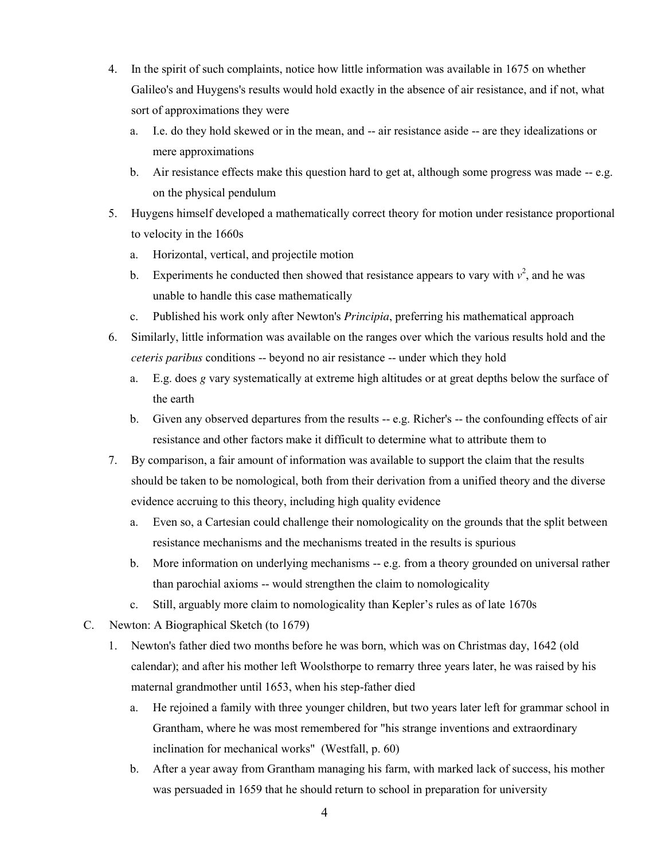- 4. In the spirit of such complaints, notice how little information was available in 1675 on whether Galileo's and Huygens's results would hold exactly in the absence of air resistance, and if not, what sort of approximations they were
	- a. I.e. do they hold skewed or in the mean, and -- air resistance aside -- are they idealizations or mere approximations
	- b. Air resistance effects make this question hard to get at, although some progress was made -- e.g. on the physical pendulum
- 5. Huygens himself developed a mathematically correct theory for motion under resistance proportional to velocity in the 1660s
	- a. Horizontal, vertical, and projectile motion
	- b. Experiments he conducted then showed that resistance appears to vary with  $v^2$ , and he was unable to handle this case mathematically
	- c. Published his work only after Newton's *Principia*, preferring his mathematical approach
- 6. Similarly, little information was available on the ranges over which the various results hold and the *ceteris paribus* conditions -- beyond no air resistance -- under which they hold
	- a. E.g. does *g* vary systematically at extreme high altitudes or at great depths below the surface of the earth
	- b. Given any observed departures from the results -- e.g. Richer's -- the confounding effects of air resistance and other factors make it difficult to determine what to attribute them to
- 7. By comparison, a fair amount of information was available to support the claim that the results should be taken to be nomological, both from their derivation from a unified theory and the diverse evidence accruing to this theory, including high quality evidence
	- a. Even so, a Cartesian could challenge their nomologicality on the grounds that the split between resistance mechanisms and the mechanisms treated in the results is spurious
	- b. More information on underlying mechanisms -- e.g. from a theory grounded on universal rather than parochial axioms -- would strengthen the claim to nomologicality
	- c. Still, arguably more claim to nomologicality than Kepler's rules as of late 1670s
- C. Newton: A Biographical Sketch (to 1679)
	- 1. Newton's father died two months before he was born, which was on Christmas day, 1642 (old calendar); and after his mother left Woolsthorpe to remarry three years later, he was raised by his maternal grandmother until 1653, when his step-father died
		- a. He rejoined a family with three younger children, but two years later left for grammar school in Grantham, where he was most remembered for "his strange inventions and extraordinary inclination for mechanical works" (Westfall, p. 60)
		- b. After a year away from Grantham managing his farm, with marked lack of success, his mother was persuaded in 1659 that he should return to school in preparation for university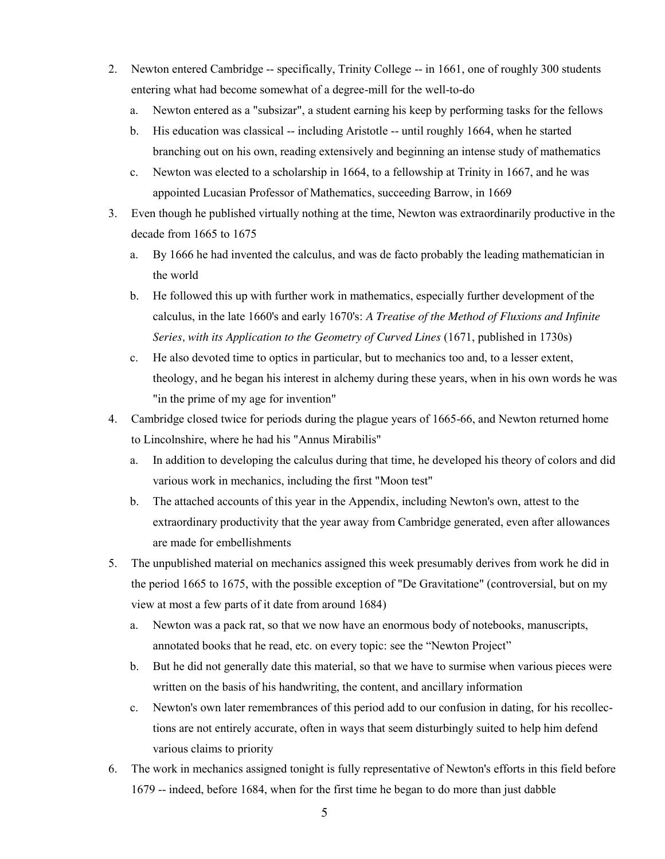- 2. Newton entered Cambridge -- specifically, Trinity College -- in 1661, one of roughly 300 students entering what had become somewhat of a degree-mill for the well-to-do
	- a. Newton entered as a "subsizar", a student earning his keep by performing tasks for the fellows
	- b. His education was classical -- including Aristotle -- until roughly 1664, when he started branching out on his own, reading extensively and beginning an intense study of mathematics
	- c. Newton was elected to a scholarship in 1664, to a fellowship at Trinity in 1667, and he was appointed Lucasian Professor of Mathematics, succeeding Barrow, in 1669
- 3. Even though he published virtually nothing at the time, Newton was extraordinarily productive in the decade from 1665 to 1675
	- a. By 1666 he had invented the calculus, and was de facto probably the leading mathematician in the world
	- b. He followed this up with further work in mathematics, especially further development of the calculus, in the late 1660's and early 1670's: *A Treatise of the Method of Fluxions and Infinite Series, with its Application to the Geometry of Curved Lines* (1671, published in 1730s)
	- c. He also devoted time to optics in particular, but to mechanics too and, to a lesser extent, theology, and he began his interest in alchemy during these years, when in his own words he was "in the prime of my age for invention"
- 4. Cambridge closed twice for periods during the plague years of 1665-66, and Newton returned home to Lincolnshire, where he had his "Annus Mirabilis"
	- a. In addition to developing the calculus during that time, he developed his theory of colors and did various work in mechanics, including the first "Moon test"
	- b. The attached accounts of this year in the Appendix, including Newton's own, attest to the extraordinary productivity that the year away from Cambridge generated, even after allowances are made for embellishments
- 5. The unpublished material on mechanics assigned this week presumably derives from work he did in the period 1665 to 1675, with the possible exception of "De Gravitatione" (controversial, but on my view at most a few parts of it date from around 1684)
	- a. Newton was a pack rat, so that we now have an enormous body of notebooks, manuscripts, annotated books that he read, etc. on every topic: see the "Newton Project"
	- b. But he did not generally date this material, so that we have to surmise when various pieces were written on the basis of his handwriting, the content, and ancillary information
	- c. Newton's own later remembrances of this period add to our confusion in dating, for his recollections are not entirely accurate, often in ways that seem disturbingly suited to help him defend various claims to priority
- 6. The work in mechanics assigned tonight is fully representative of Newton's efforts in this field before 1679 -- indeed, before 1684, when for the first time he began to do more than just dabble